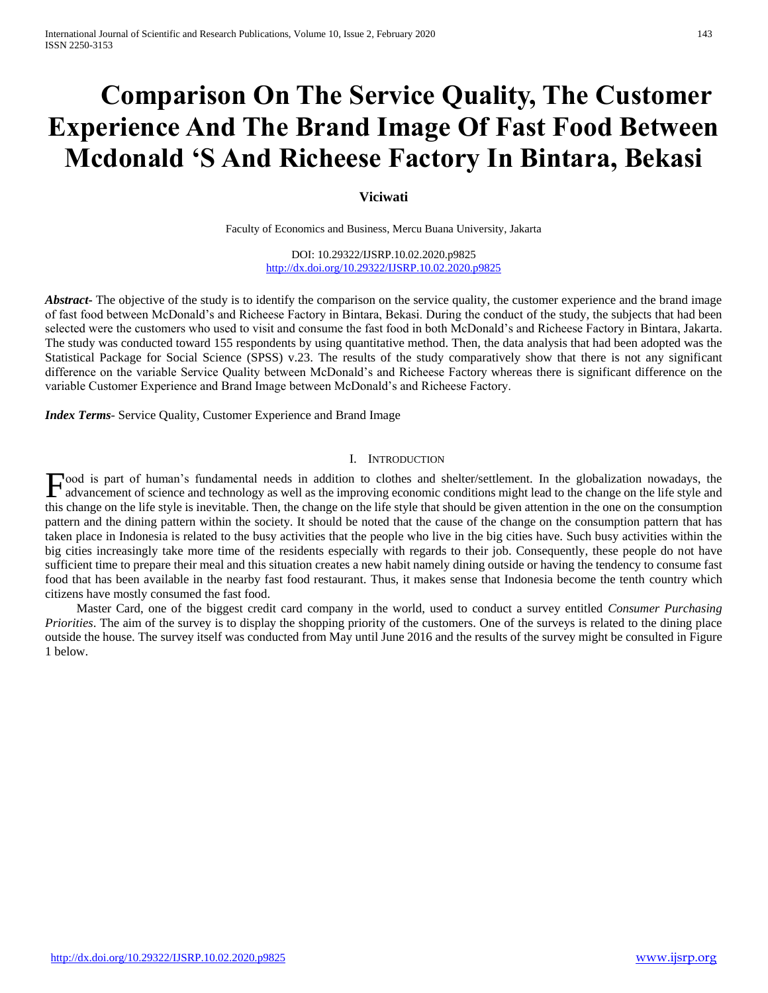# **Comparison On The Service Quality, The Customer Experience And The Brand Image Of Fast Food Between Mcdonald 'S And Richeese Factory In Bintara, Bekasi**

# **Viciwati**

Faculty of Economics and Business, Mercu Buana University, Jakarta

DOI: 10.29322/IJSRP.10.02.2020.p9825 <http://dx.doi.org/10.29322/IJSRP.10.02.2020.p9825>

*Abstract* The objective of the study is to identify the comparison on the service quality, the customer experience and the brand image of fast food between McDonald's and Richeese Factory in Bintara, Bekasi. During the conduct of the study, the subjects that had been selected were the customers who used to visit and consume the fast food in both McDonald's and Richeese Factory in Bintara, Jakarta. The study was conducted toward 155 respondents by using quantitative method. Then, the data analysis that had been adopted was the Statistical Package for Social Science (SPSS) v.23. The results of the study comparatively show that there is not any significant difference on the variable Service Quality between McDonald's and Richeese Factory whereas there is significant difference on the variable Customer Experience and Brand Image between McDonald's and Richeese Factory.

*Index Terms*- Service Quality, Customer Experience and Brand Image

## I. INTRODUCTION

ood is part of human's fundamental needs in addition to clothes and shelter/settlement. In the globalization nowadays, the Food is part of human's fundamental needs in addition to clothes and shelter/settlement. In the globalization nowadays, the advancement of science and technology as well as the improving economic conditions might lead to t this change on the life style is inevitable. Then, the change on the life style that should be given attention in the one on the consumption pattern and the dining pattern within the society. It should be noted that the cause of the change on the consumption pattern that has taken place in Indonesia is related to the busy activities that the people who live in the big cities have. Such busy activities within the big cities increasingly take more time of the residents especially with regards to their job. Consequently, these people do not have sufficient time to prepare their meal and this situation creates a new habit namely dining outside or having the tendency to consume fast food that has been available in the nearby fast food restaurant. Thus, it makes sense that Indonesia become the tenth country which citizens have mostly consumed the fast food.

 Master Card, one of the biggest credit card company in the world, used to conduct a survey entitled *Consumer Purchasing Priorities*. The aim of the survey is to display the shopping priority of the customers. One of the surveys is related to the dining place outside the house. The survey itself was conducted from May until June 2016 and the results of the survey might be consulted in Figure 1 below.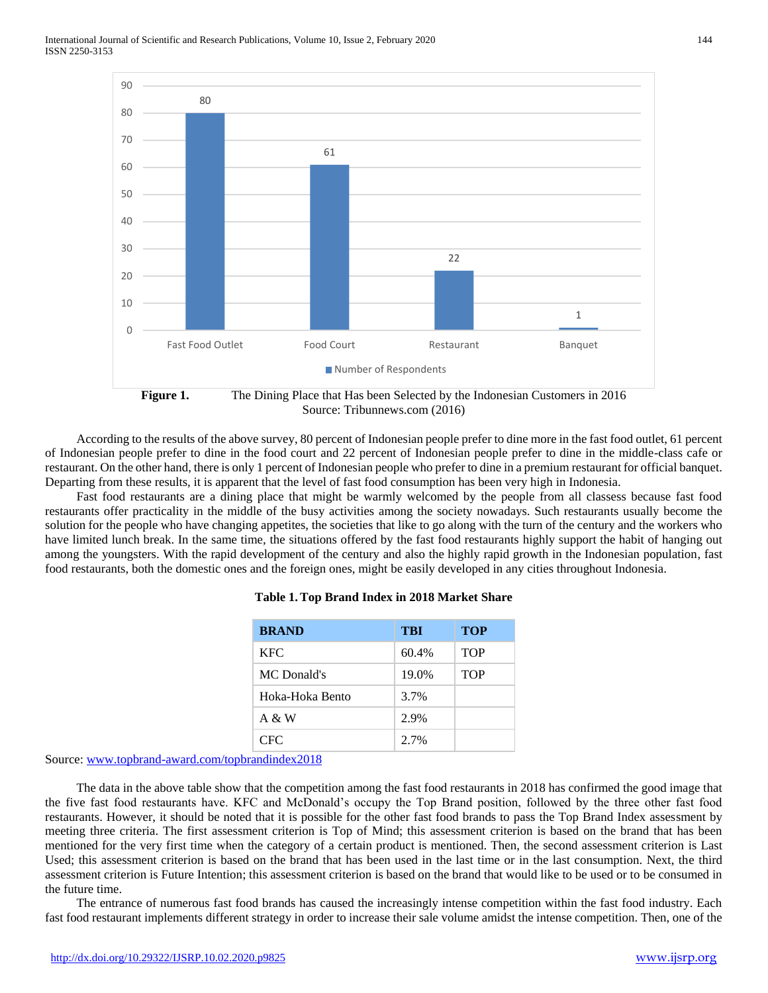

Source: Tribunnews.com (2016)

 According to the results of the above survey, 80 percent of Indonesian people prefer to dine more in the fast food outlet, 61 percent of Indonesian people prefer to dine in the food court and 22 percent of Indonesian people prefer to dine in the middle-class cafe or restaurant. On the other hand, there is only 1 percent of Indonesian people who prefer to dine in a premium restaurant for official banquet. Departing from these results, it is apparent that the level of fast food consumption has been very high in Indonesia.

 Fast food restaurants are a dining place that might be warmly welcomed by the people from all classess because fast food restaurants offer practicality in the middle of the busy activities among the society nowadays. Such restaurants usually become the solution for the people who have changing appetites, the societies that like to go along with the turn of the century and the workers who have limited lunch break. In the same time, the situations offered by the fast food restaurants highly support the habit of hanging out among the youngsters. With the rapid development of the century and also the highly rapid growth in the Indonesian population, fast food restaurants, both the domestic ones and the foreign ones, might be easily developed in any cities throughout Indonesia.

| <b>BRAND</b>    | TBI   | <b>TOP</b> |
|-----------------|-------|------------|
| <b>KFC</b>      | 60.4% | <b>TOP</b> |
| MC Donald's     | 19.0% | <b>TOP</b> |
| Hoka-Hoka Bento | 3.7%  |            |
| A & W           | 2.9%  |            |
| CFC.            | 2.7%  |            |

## **Table 1.Top Brand Index in 2018 Market Share**

Source: [www.topbrand-award.com/topbrandindex2018](http://www.topbrand-award.com/topbrandindex2018)

 The data in the above table show that the competition among the fast food restaurants in 2018 has confirmed the good image that the five fast food restaurants have. KFC and McDonald's occupy the Top Brand position, followed by the three other fast food restaurants. However, it should be noted that it is possible for the other fast food brands to pass the Top Brand Index assessment by meeting three criteria. The first assessment criterion is Top of Mind; this assessment criterion is based on the brand that has been mentioned for the very first time when the category of a certain product is mentioned. Then, the second assessment criterion is Last Used; this assessment criterion is based on the brand that has been used in the last time or in the last consumption. Next, the third assessment criterion is Future Intention; this assessment criterion is based on the brand that would like to be used or to be consumed in the future time.

 The entrance of numerous fast food brands has caused the increasingly intense competition within the fast food industry. Each fast food restaurant implements different strategy in order to increase their sale volume amidst the intense competition. Then, one of the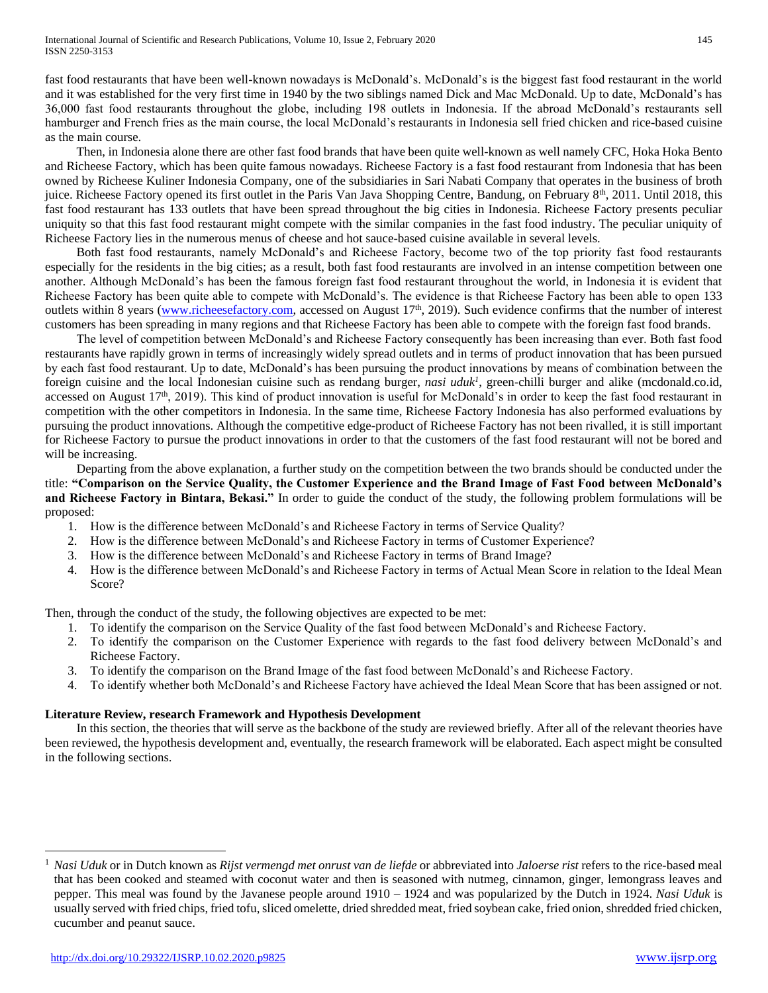fast food restaurants that have been well-known nowadays is McDonald's. McDonald's is the biggest fast food restaurant in the world and it was established for the very first time in 1940 by the two siblings named Dick and Mac McDonald. Up to date, McDonald's has 36,000 fast food restaurants throughout the globe, including 198 outlets in Indonesia. If the abroad McDonald's restaurants sell hamburger and French fries as the main course, the local McDonald's restaurants in Indonesia sell fried chicken and rice-based cuisine as the main course.

 Then, in Indonesia alone there are other fast food brands that have been quite well-known as well namely CFC, Hoka Hoka Bento and Richeese Factory, which has been quite famous nowadays. Richeese Factory is a fast food restaurant from Indonesia that has been owned by Richeese Kuliner Indonesia Company, one of the subsidiaries in Sari Nabati Company that operates in the business of broth juice. Richeese Factory opened its first outlet in the Paris Van Java Shopping Centre, Bandung, on February 8<sup>th</sup>, 2011. Until 2018, this fast food restaurant has 133 outlets that have been spread throughout the big cities in Indonesia. Richeese Factory presents peculiar uniquity so that this fast food restaurant might compete with the similar companies in the fast food industry. The peculiar uniquity of Richeese Factory lies in the numerous menus of cheese and hot sauce-based cuisine available in several levels.

 Both fast food restaurants, namely McDonald's and Richeese Factory, become two of the top priority fast food restaurants especially for the residents in the big cities; as a result, both fast food restaurants are involved in an intense competition between one another. Although McDonald's has been the famous foreign fast food restaurant throughout the world, in Indonesia it is evident that Richeese Factory has been quite able to compete with McDonald's. The evidence is that Richeese Factory has been able to open 133 outlets within 8 years [\(www.richeesefactory.com,](http://www.richeesefactory.com/) accessed on August  $17<sup>th</sup>$ , 2019). Such evidence confirms that the number of interest customers has been spreading in many regions and that Richeese Factory has been able to compete with the foreign fast food brands.

 The level of competition between McDonald's and Richeese Factory consequently has been increasing than ever. Both fast food restaurants have rapidly grown in terms of increasingly widely spread outlets and in terms of product innovation that has been pursued by each fast food restaurant. Up to date, McDonald's has been pursuing the product innovations by means of combination between the foreign cuisine and the local Indonesian cuisine such as rendang burger, *nasi uduk<sup>1</sup>* , green-chilli burger and alike (mcdonald.co.id, accessed on August  $17<sup>th</sup>$ , 2019). This kind of product innovation is useful for McDonald's in order to keep the fast food restaurant in competition with the other competitors in Indonesia. In the same time, Richeese Factory Indonesia has also performed evaluations by pursuing the product innovations. Although the competitive edge-product of Richeese Factory has not been rivalled, it is still important for Richeese Factory to pursue the product innovations in order to that the customers of the fast food restaurant will not be bored and will be increasing.

 Departing from the above explanation, a further study on the competition between the two brands should be conducted under the title: **"Comparison on the Service Quality, the Customer Experience and the Brand Image of Fast Food between McDonald's and Richeese Factory in Bintara, Bekasi."** In order to guide the conduct of the study, the following problem formulations will be proposed:

- 1. How is the difference between McDonald's and Richeese Factory in terms of Service Quality?
- 2. How is the difference between McDonald's and Richeese Factory in terms of Customer Experience?
- 3. How is the difference between McDonald's and Richeese Factory in terms of Brand Image?
- 4. How is the difference between McDonald's and Richeese Factory in terms of Actual Mean Score in relation to the Ideal Mean Score?

Then, through the conduct of the study, the following objectives are expected to be met:

- 1. To identify the comparison on the Service Quality of the fast food between McDonald's and Richeese Factory.
- 2. To identify the comparison on the Customer Experience with regards to the fast food delivery between McDonald's and Richeese Factory.
- 3. To identify the comparison on the Brand Image of the fast food between McDonald's and Richeese Factory.
- 4. To identify whether both McDonald's and Richeese Factory have achieved the Ideal Mean Score that has been assigned or not.

# **Literature Review, research Framework and Hypothesis Development**

 In this section, the theories that will serve as the backbone of the study are reviewed briefly. After all of the relevant theories have been reviewed, the hypothesis development and, eventually, the research framework will be elaborated. Each aspect might be consulted in the following sections.

 $\overline{a}$ 

<sup>1</sup> *Nasi Uduk* or in Dutch known as *Rijst vermengd met onrust van de liefde* or abbreviated into *Jaloerse rist* refers to the rice-based meal that has been cooked and steamed with coconut water and then is seasoned with nutmeg, cinnamon, ginger, lemongrass leaves and pepper. This meal was found by the Javanese people around 1910 – 1924 and was popularized by the Dutch in 1924. *Nasi Uduk* is usually served with fried chips, fried tofu, sliced omelette, dried shredded meat, fried soybean cake, fried onion, shredded fried chicken, cucumber and peanut sauce.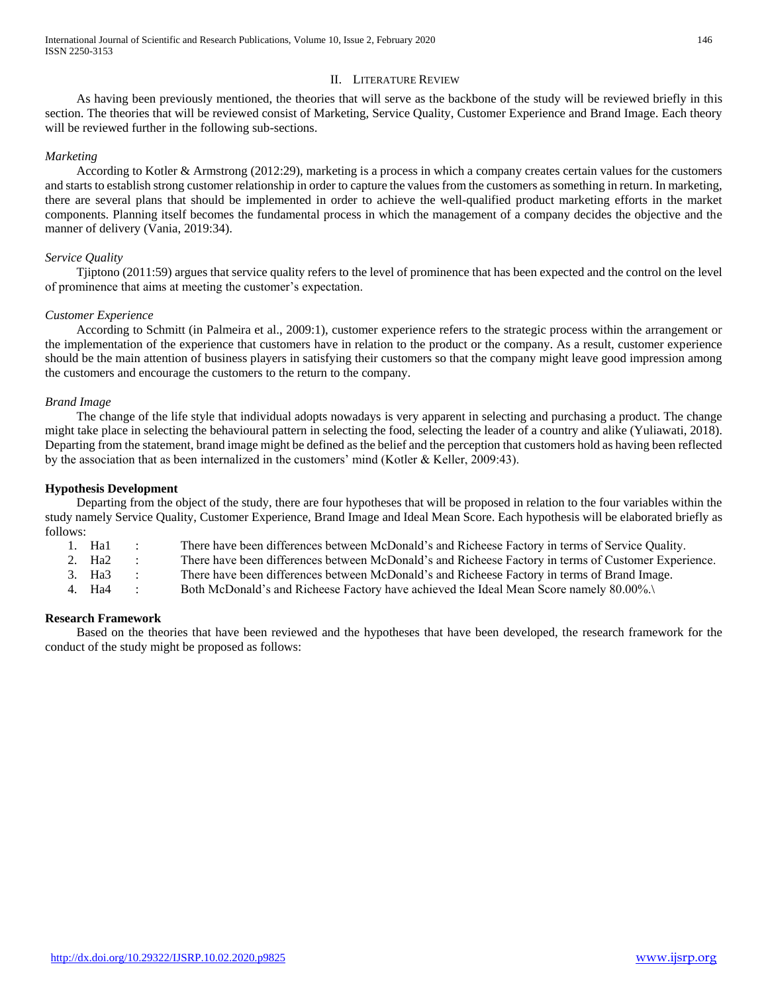# II. LITERATURE REVIEW

 As having been previously mentioned, the theories that will serve as the backbone of the study will be reviewed briefly in this section. The theories that will be reviewed consist of Marketing, Service Quality, Customer Experience and Brand Image. Each theory will be reviewed further in the following sub-sections.

## *Marketing*

 According to Kotler & Armstrong (2012:29), marketing is a process in which a company creates certain values for the customers and starts to establish strong customer relationship in order to capture the values from the customers as something in return. In marketing, there are several plans that should be implemented in order to achieve the well-qualified product marketing efforts in the market components. Planning itself becomes the fundamental process in which the management of a company decides the objective and the manner of delivery (Vania, 2019:34).

## *Service Quality*

 Tjiptono (2011:59) argues that service quality refers to the level of prominence that has been expected and the control on the level of prominence that aims at meeting the customer's expectation.

## *Customer Experience*

 According to Schmitt (in Palmeira et al., 2009:1), customer experience refers to the strategic process within the arrangement or the implementation of the experience that customers have in relation to the product or the company. As a result, customer experience should be the main attention of business players in satisfying their customers so that the company might leave good impression among the customers and encourage the customers to the return to the company.

## *Brand Image*

 The change of the life style that individual adopts nowadays is very apparent in selecting and purchasing a product. The change might take place in selecting the behavioural pattern in selecting the food, selecting the leader of a country and alike (Yuliawati, 2018). Departing from the statement, brand image might be defined as the belief and the perception that customers hold as having been reflected by the association that as been internalized in the customers' mind (Kotler & Keller, 2009:43).

## **Hypothesis Development**

 Departing from the object of the study, there are four hypotheses that will be proposed in relation to the four variables within the study namely Service Quality, Customer Experience, Brand Image and Ideal Mean Score. Each hypothesis will be elaborated briefly as follows:

1. Ha1 : There have been differences between McDonald's and Richeese Factory in terms of Service Quality. 2. Ha2 : There have been differences between McDonald's and Richeese Factory in terms of Customer Experience.

3. Ha3 : There have been differences between McDonald's and Richeese Factory in terms of Brand Image.

4. Ha4 : Both McDonald's and Richeese Factory have achieved the Ideal Mean Score namely 80.00%.\

## **Research Framework**

 Based on the theories that have been reviewed and the hypotheses that have been developed, the research framework for the conduct of the study might be proposed as follows: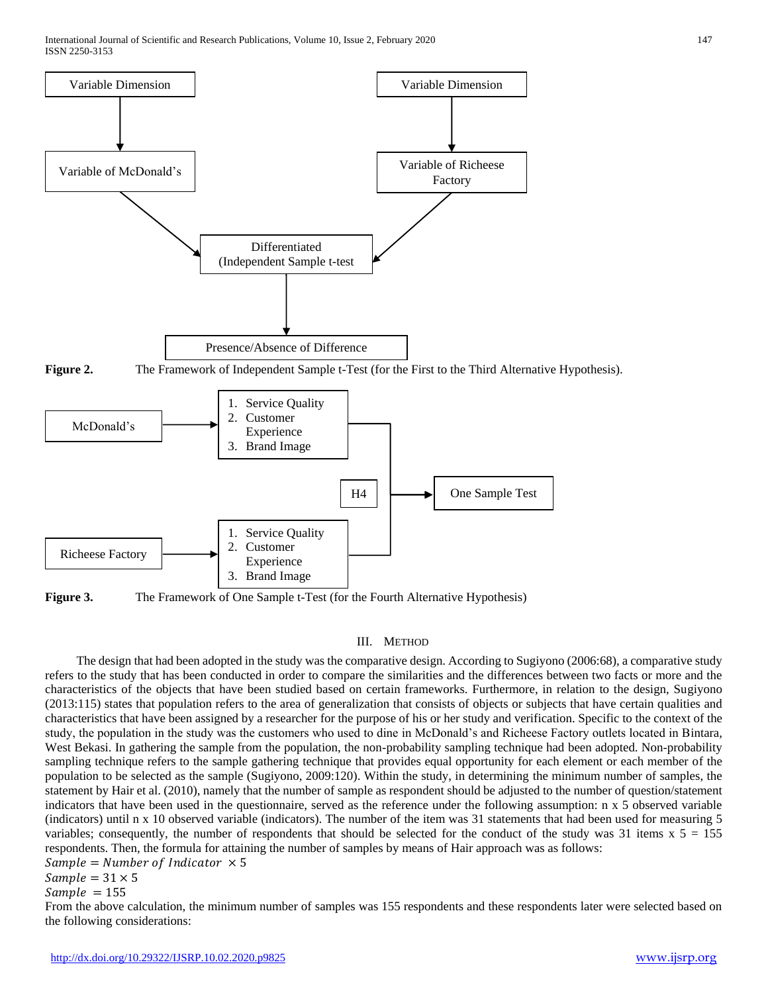

**Figure 3.** The Framework of One Sample t-Test (for the Fourth Alternative Hypothesis)

## III. METHOD

 The design that had been adopted in the study was the comparative design. According to Sugiyono (2006:68), a comparative study refers to the study that has been conducted in order to compare the similarities and the differences between two facts or more and the characteristics of the objects that have been studied based on certain frameworks. Furthermore, in relation to the design, Sugiyono (2013:115) states that population refers to the area of generalization that consists of objects or subjects that have certain qualities and characteristics that have been assigned by a researcher for the purpose of his or her study and verification. Specific to the context of the study, the population in the study was the customers who used to dine in McDonald's and Richeese Factory outlets located in Bintara, West Bekasi. In gathering the sample from the population, the non-probability sampling technique had been adopted. Non-probability sampling technique refers to the sample gathering technique that provides equal opportunity for each element or each member of the population to be selected as the sample (Sugiyono, 2009:120). Within the study, in determining the minimum number of samples, the statement by Hair et al. (2010), namely that the number of sample as respondent should be adjusted to the number of question/statement indicators that have been used in the questionnaire, served as the reference under the following assumption: n x 5 observed variable (indicators) until n x 10 observed variable (indicators). The number of the item was 31 statements that had been used for measuring 5 variables; consequently, the number of respondents that should be selected for the conduct of the study was 31 items  $x\ 5 = 155$ respondents. Then, the formula for attaining the number of samples by means of Hair approach was as follows:

 $Sample = Number of Indicator \times 5$ 

 $Sample = 31 \times 5$ 

 $Sample = 155$ 

From the above calculation, the minimum number of samples was 155 respondents and these respondents later were selected based on the following considerations: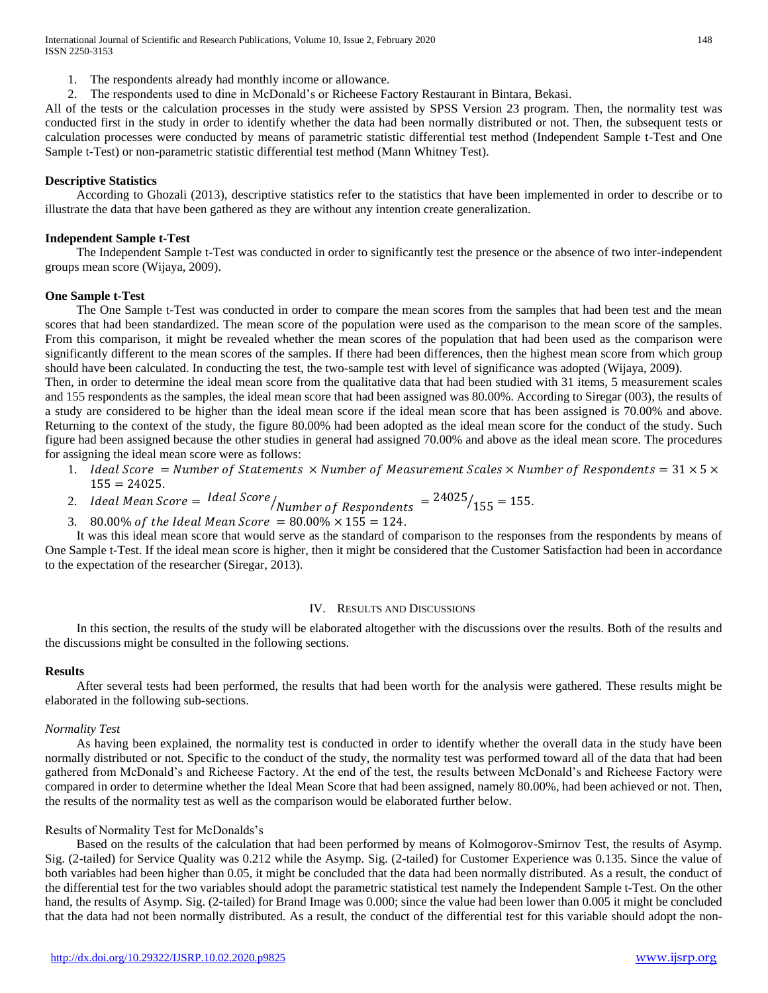International Journal of Scientific and Research Publications, Volume 10, Issue 2, February 2020 148 ISSN 2250-3153

- 1. The respondents already had monthly income or allowance.
- 2. The respondents used to dine in McDonald's or Richeese Factory Restaurant in Bintara, Bekasi.

All of the tests or the calculation processes in the study were assisted by SPSS Version 23 program. Then, the normality test was conducted first in the study in order to identify whether the data had been normally distributed or not. Then, the subsequent tests or calculation processes were conducted by means of parametric statistic differential test method (Independent Sample t-Test and One Sample t-Test) or non-parametric statistic differential test method (Mann Whitney Test).

#### **Descriptive Statistics**

 According to Ghozali (2013), descriptive statistics refer to the statistics that have been implemented in order to describe or to illustrate the data that have been gathered as they are without any intention create generalization.

#### **Independent Sample t-Test**

 The Independent Sample t-Test was conducted in order to significantly test the presence or the absence of two inter-independent groups mean score (Wijaya, 2009).

#### **One Sample t-Test**

 The One Sample t-Test was conducted in order to compare the mean scores from the samples that had been test and the mean scores that had been standardized. The mean score of the population were used as the comparison to the mean score of the samples. From this comparison, it might be revealed whether the mean scores of the population that had been used as the comparison were significantly different to the mean scores of the samples. If there had been differences, then the highest mean score from which group should have been calculated. In conducting the test, the two-sample test with level of significance was adopted (Wijaya, 2009).

Then, in order to determine the ideal mean score from the qualitative data that had been studied with 31 items, 5 measurement scales and 155 respondents as the samples, the ideal mean score that had been assigned was 80.00%. According to Siregar (003), the results of a study are considered to be higher than the ideal mean score if the ideal mean score that has been assigned is 70.00% and above. Returning to the context of the study, the figure 80.00% had been adopted as the ideal mean score for the conduct of the study. Such figure had been assigned because the other studies in general had assigned 70.00% and above as the ideal mean score. The procedures for assigning the ideal mean score were as follows:

- 1. Ideal Score = Number of Statements  $\times$  Number of Measurement Scales  $\times$  Number of Respondents = 31  $\times$  5  $\times$  $155 = 24025.$
- 2. Ideal Mean Score =  $\left| \frac{Ideal~Score}{Number~of~Response} \right| = \frac{24025}{155} = 155.$
- 3. 80.00% of the Ideal Mean Score =  $80.00\% \times 155 = 124$ .

 It was this ideal mean score that would serve as the standard of comparison to the responses from the respondents by means of One Sample t-Test. If the ideal mean score is higher, then it might be considered that the Customer Satisfaction had been in accordance to the expectation of the researcher (Siregar, 2013).

## IV. RESULTS AND DISCUSSIONS

 In this section, the results of the study will be elaborated altogether with the discussions over the results. Both of the results and the discussions might be consulted in the following sections.

#### **Results**

 After several tests had been performed, the results that had been worth for the analysis were gathered. These results might be elaborated in the following sub-sections.

#### *Normality Test*

 As having been explained, the normality test is conducted in order to identify whether the overall data in the study have been normally distributed or not. Specific to the conduct of the study, the normality test was performed toward all of the data that had been gathered from McDonald's and Richeese Factory. At the end of the test, the results between McDonald's and Richeese Factory were compared in order to determine whether the Ideal Mean Score that had been assigned, namely 80.00%, had been achieved or not. Then, the results of the normality test as well as the comparison would be elaborated further below.

#### Results of Normality Test for McDonalds's

 Based on the results of the calculation that had been performed by means of Kolmogorov-Smirnov Test, the results of Asymp. Sig. (2-tailed) for Service Quality was 0.212 while the Asymp. Sig. (2-tailed) for Customer Experience was 0.135. Since the value of both variables had been higher than 0.05, it might be concluded that the data had been normally distributed. As a result, the conduct of the differential test for the two variables should adopt the parametric statistical test namely the Independent Sample t-Test. On the other hand, the results of Asymp. Sig. (2-tailed) for Brand Image was 0.000; since the value had been lower than 0.005 it might be concluded that the data had not been normally distributed. As a result, the conduct of the differential test for this variable should adopt the non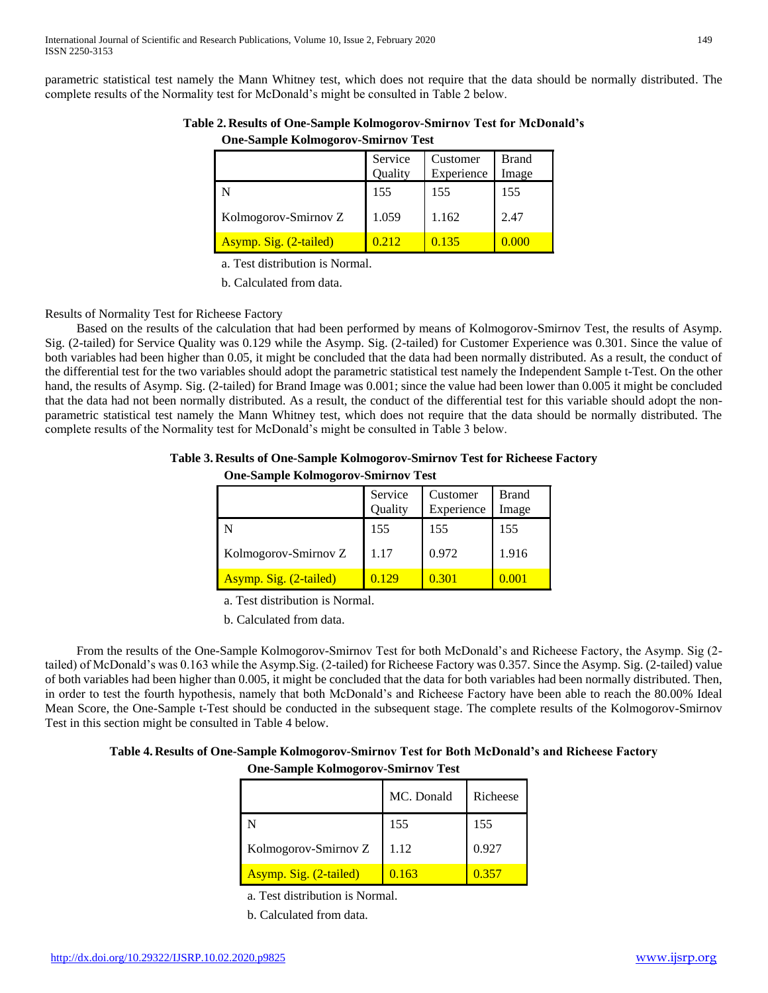parametric statistical test namely the Mann Whitney test, which does not require that the data should be normally distributed. The complete results of the Normality test for McDonald's might be consulted in Table 2 below.

|                        | Service<br>Quality | Customer<br>Experience | Brand<br>Image |
|------------------------|--------------------|------------------------|----------------|
|                        | 155                | 155                    | 155            |
| Kolmogorov-Smirnov Z   | 1.059              | 1.162                  | 2.47           |
| Asymp. Sig. (2-tailed) |                    | 0.135                  |                |

**Table 2. Results of One-Sample Kolmogorov-Smirnov Test for McDonald's One-Sample Kolmogorov-Smirnov Test**

a. Test distribution is Normal.

b. Calculated from data.

# Results of Normality Test for Richeese Factory

 Based on the results of the calculation that had been performed by means of Kolmogorov-Smirnov Test, the results of Asymp. Sig. (2-tailed) for Service Quality was 0.129 while the Asymp. Sig. (2-tailed) for Customer Experience was 0.301. Since the value of both variables had been higher than 0.05, it might be concluded that the data had been normally distributed. As a result, the conduct of the differential test for the two variables should adopt the parametric statistical test namely the Independent Sample t-Test. On the other hand, the results of Asymp. Sig. (2-tailed) for Brand Image was 0.001; since the value had been lower than 0.005 it might be concluded that the data had not been normally distributed. As a result, the conduct of the differential test for this variable should adopt the nonparametric statistical test namely the Mann Whitney test, which does not require that the data should be normally distributed. The complete results of the Normality test for McDonald's might be consulted in Table 3 below.

# **Table 3. Results of One-Sample Kolmogorov-Smirnov Test for Richeese Factory**

|                        | Service<br>Quality | Customer<br>Experience | <b>Brand</b><br>Image |
|------------------------|--------------------|------------------------|-----------------------|
|                        | 155                | 155                    | 155                   |
| Kolmogorov-Smirnov Z   | 1.17               | 0.972                  | 1.916                 |
| Asymp. Sig. (2-tailed) | 0.129              | 0.301                  |                       |

a. Test distribution is Normal.

b. Calculated from data.

 From the results of the One-Sample Kolmogorov-Smirnov Test for both McDonald's and Richeese Factory, the Asymp. Sig (2 tailed) of McDonald's was 0.163 while the Asymp.Sig. (2-tailed) for Richeese Factory was 0.357. Since the Asymp. Sig. (2-tailed) value of both variables had been higher than 0.005, it might be concluded that the data for both variables had been normally distributed. Then, in order to test the fourth hypothesis, namely that both McDonald's and Richeese Factory have been able to reach the 80.00% Ideal Mean Score, the One-Sample t-Test should be conducted in the subsequent stage. The complete results of the Kolmogorov-Smirnov Test in this section might be consulted in Table 4 below.

# **Table 4. Results of One-Sample Kolmogorov-Smirnov Test for Both McDonald's and Richeese Factory One-Sample Kolmogorov-Smirnov Test**

|                        | MC. Donald | Richeese |
|------------------------|------------|----------|
|                        | 155        | 155      |
| Kolmogorov-Smirnov Z   | 1.12       | 0.927    |
| Asymp. Sig. (2-tailed) | 0.163      | 0.357    |

a. Test distribution is Normal.

b. Calculated from data.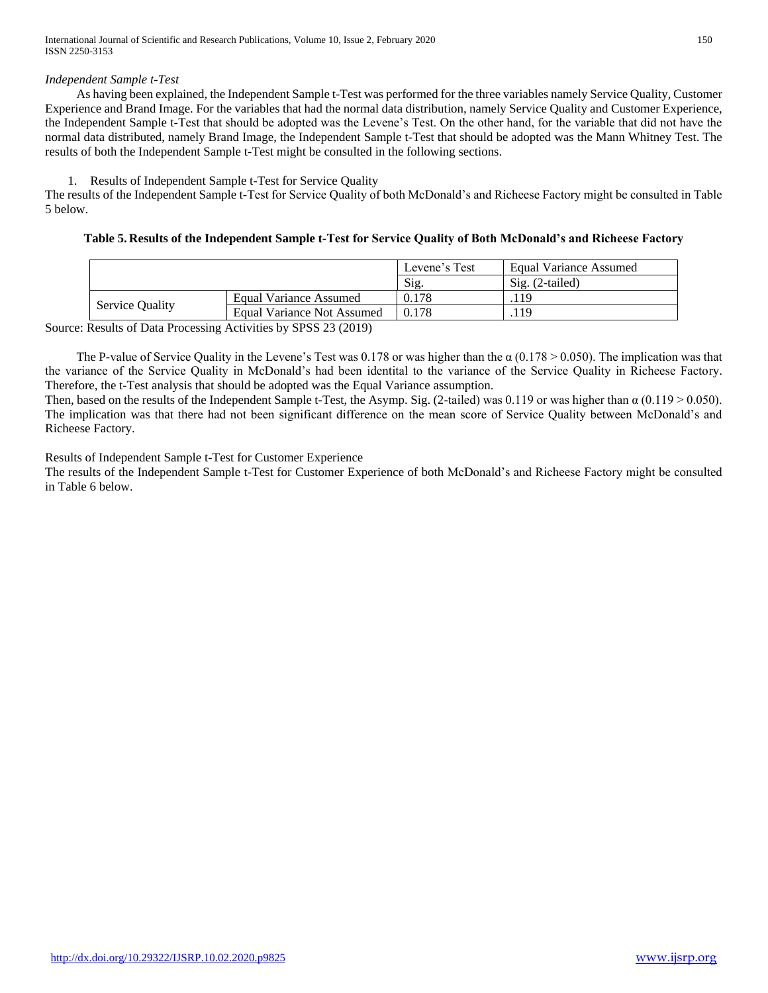# *Independent Sample t-Test*

 As having been explained, the Independent Sample t-Test was performed for the three variables namely Service Quality, Customer Experience and Brand Image. For the variables that had the normal data distribution, namely Service Quality and Customer Experience, the Independent Sample t-Test that should be adopted was the Levene's Test. On the other hand, for the variable that did not have the normal data distributed, namely Brand Image, the Independent Sample t-Test that should be adopted was the Mann Whitney Test. The results of both the Independent Sample t-Test might be consulted in the following sections.

# 1. Results of Independent Sample t-Test for Service Quality

The results of the Independent Sample t-Test for Service Quality of both McDonald's and Richeese Factory might be consulted in Table 5 below.

# **Table 5. Results of the Independent Sample t-Test for Service Quality of Both McDonald's and Richeese Factory**

|                                                                          |                            | Levene's Test | Equal Variance Assumed |
|--------------------------------------------------------------------------|----------------------------|---------------|------------------------|
|                                                                          |                            | Sig.          | $Sig. (2-tailed)$      |
|                                                                          | Equal Variance Assumed     | 0.178         | .119                   |
| <b>Service Quality</b>                                                   | Equal Variance Not Assumed | 0.178         | .119                   |
| $\sim$ $\sim$ $\sim$ $\sim$ $\sim$ $\sim$ $\sim$ $\sim$<br>.<br>________ |                            |               |                        |

Source: Results of Data Processing Activities by SPSS 23 (2019)

The P-value of Service Quality in the Levene's Test was 0.178 or was higher than the  $\alpha$  (0.178 > 0.050). The implication was that the variance of the Service Quality in McDonald's had been identital to the variance of the Service Quality in Richeese Factory. Therefore, the t-Test analysis that should be adopted was the Equal Variance assumption.

Then, based on the results of the Independent Sample t-Test, the Asymp. Sig. (2-tailed) was 0.119 or was higher than  $\alpha$  (0.119 > 0.050). The implication was that there had not been significant difference on the mean score of Service Quality between McDonald's and Richeese Factory.

Results of Independent Sample t-Test for Customer Experience

The results of the Independent Sample t-Test for Customer Experience of both McDonald's and Richeese Factory might be consulted in Table 6 below.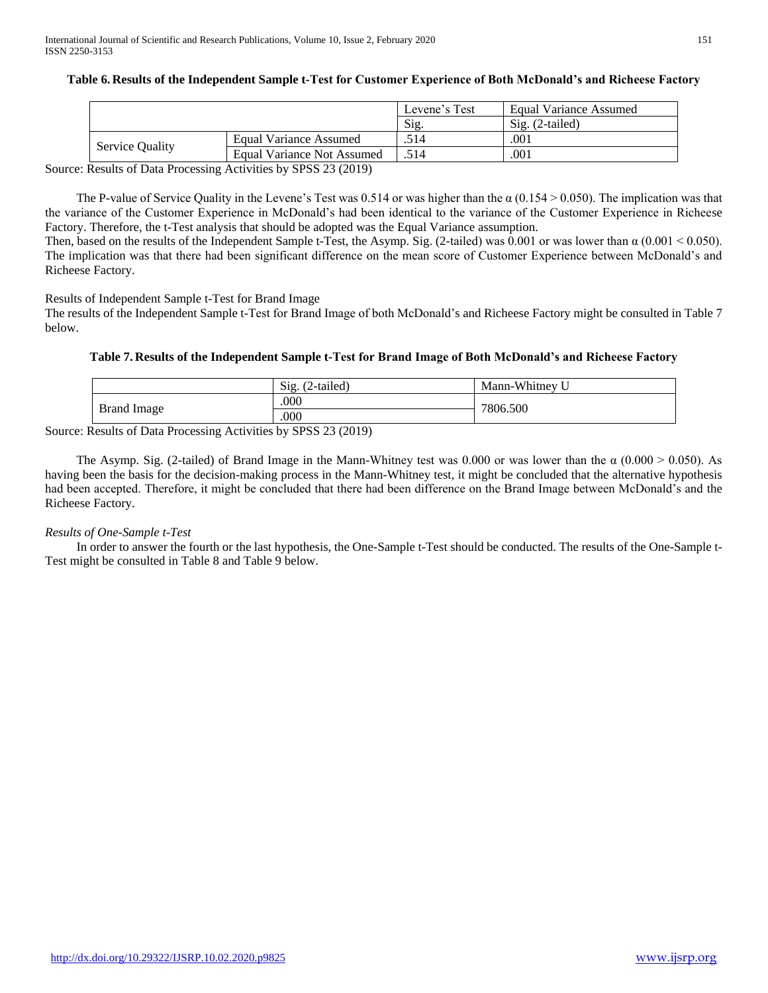|                        |                            | Levene's Test | Equal Variance Assumed    |
|------------------------|----------------------------|---------------|---------------------------|
|                        |                            | Sig           | $\text{Si}$ g. (2-tailed) |
|                        | Equal Variance Assumed     | .514          | .001                      |
| <b>Service Quality</b> | Equal Variance Not Assumed | .514          | .001                      |

# **Table 6. Results of the Independent Sample t-Test for Customer Experience of Both McDonald's and Richeese Factory**

Source: Results of Data Processing Activities by SPSS 23 (2019)

The P-value of Service Quality in the Levene's Test was 0.514 or was higher than the  $\alpha$  (0.154 > 0.050). The implication was that the variance of the Customer Experience in McDonald's had been identical to the variance of the Customer Experience in Richeese Factory. Therefore, the t-Test analysis that should be adopted was the Equal Variance assumption.

Then, based on the results of the Independent Sample t-Test, the Asymp. Sig. (2-tailed) was 0.001 or was lower than  $\alpha$  (0.001 < 0.050). The implication was that there had been significant difference on the mean score of Customer Experience between McDonald's and Richeese Factory.

# Results of Independent Sample t-Test for Brand Image

The results of the Independent Sample t-Test for Brand Image of both McDonald's and Richeese Factory might be consulted in Table 7 below.

## **Table 7. Results of the Independent Sample t-Test for Brand Image of Both McDonald's and Richeese Factory**

|             | Sig.<br>$(2-tailed)$ | Mann-Whitney U |  |
|-------------|----------------------|----------------|--|
|             | .000                 | 7806.500       |  |
| Brand Image | .000                 |                |  |

Source: Results of Data Processing Activities by SPSS 23 (2019)

The Asymp. Sig. (2-tailed) of Brand Image in the Mann-Whitney test was 0.000 or was lower than the  $\alpha$  (0.000 > 0.050). As having been the basis for the decision-making process in the Mann-Whitney test, it might be concluded that the alternative hypothesis had been accepted. Therefore, it might be concluded that there had been difference on the Brand Image between McDonald's and the Richeese Factory.

## *Results of One-Sample t-Test*

 In order to answer the fourth or the last hypothesis, the One-Sample t-Test should be conducted. The results of the One-Sample t-Test might be consulted in Table 8 and Table 9 below.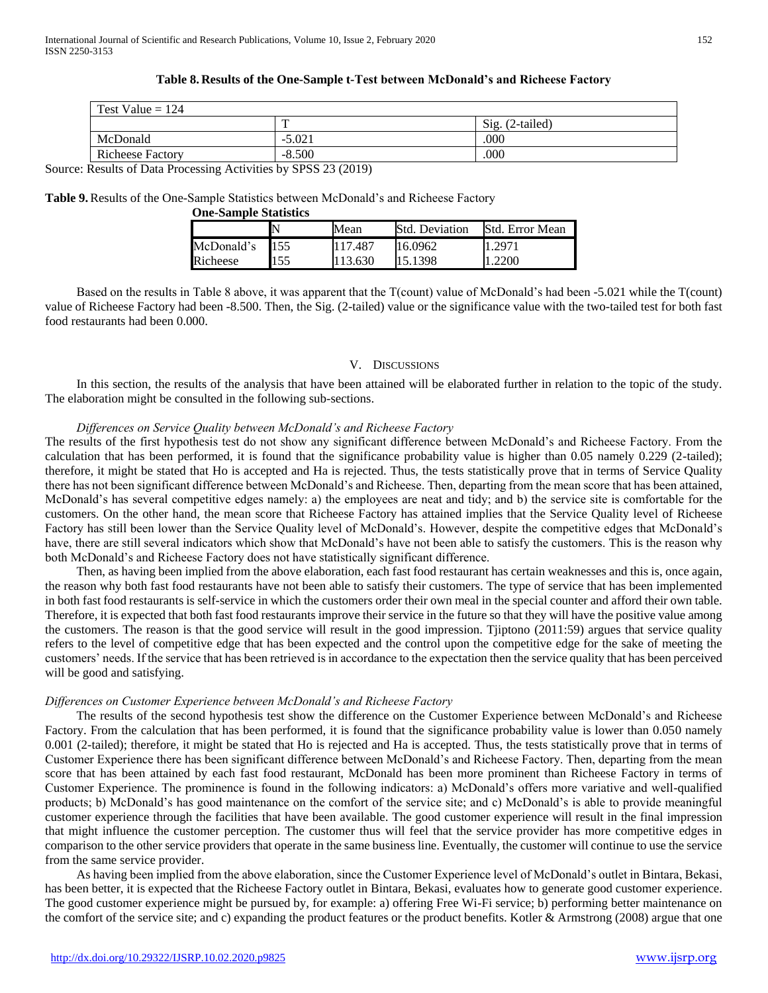| Test Value = $124$      |          |                          |  |  |
|-------------------------|----------|--------------------------|--|--|
|                         | ᠇᠇       | $\text{Sig.}$ (2-tailed) |  |  |
| McDonald                | $-5.021$ | .000                     |  |  |
| <b>Richeese Factory</b> | $-8.500$ | .000                     |  |  |

## **Table 8. Results of the One-Sample t-Test between McDonald's and Richeese Factory**

Source: Results of Data Processing Activities by SPSS 23 (2019)

## **Table 9.**Results of the One-Sample Statistics between McDonald's and Richeese Factory

| <b>One-Sample Statistics</b> |     |         |                       |                 |  |
|------------------------------|-----|---------|-----------------------|-----------------|--|
|                              |     | Mean    | <b>Std. Deviation</b> | Std. Error Mean |  |
| McDonald's                   | 155 | 117.487 | 16.0962               | 1.2971          |  |
| Richeese                     | 55  | 113.630 | 15.1398               | .2200           |  |

 Based on the results in Table 8 above, it was apparent that the T(count) value of McDonald's had been -5.021 while the T(count) value of Richeese Factory had been -8.500. Then, the Sig. (2-tailed) value or the significance value with the two-tailed test for both fast food restaurants had been 0.000.

## V. DISCUSSIONS

 In this section, the results of the analysis that have been attained will be elaborated further in relation to the topic of the study. The elaboration might be consulted in the following sub-sections.

## *Differences on Service Quality between McDonald's and Richeese Factory*

The results of the first hypothesis test do not show any significant difference between McDonald's and Richeese Factory. From the calculation that has been performed, it is found that the significance probability value is higher than 0.05 namely 0.229 (2-tailed); therefore, it might be stated that Ho is accepted and Ha is rejected. Thus, the tests statistically prove that in terms of Service Quality there has not been significant difference between McDonald's and Richeese. Then, departing from the mean score that has been attained, McDonald's has several competitive edges namely: a) the employees are neat and tidy; and b) the service site is comfortable for the customers. On the other hand, the mean score that Richeese Factory has attained implies that the Service Quality level of Richeese Factory has still been lower than the Service Quality level of McDonald's. However, despite the competitive edges that McDonald's have, there are still several indicators which show that McDonald's have not been able to satisfy the customers. This is the reason why both McDonald's and Richeese Factory does not have statistically significant difference.

 Then, as having been implied from the above elaboration, each fast food restaurant has certain weaknesses and this is, once again, the reason why both fast food restaurants have not been able to satisfy their customers. The type of service that has been implemented in both fast food restaurants is self-service in which the customers order their own meal in the special counter and afford their own table. Therefore, it is expected that both fast food restaurants improve their service in the future so that they will have the positive value among the customers. The reason is that the good service will result in the good impression. Tjiptono (2011:59) argues that service quality refers to the level of competitive edge that has been expected and the control upon the competitive edge for the sake of meeting the customers' needs. If the service that has been retrieved is in accordance to the expectation then the service quality that has been perceived will be good and satisfying.

# *Differences on Customer Experience between McDonald's and Richeese Factory*

 The results of the second hypothesis test show the difference on the Customer Experience between McDonald's and Richeese Factory. From the calculation that has been performed, it is found that the significance probability value is lower than 0.050 namely 0.001 (2-tailed); therefore, it might be stated that Ho is rejected and Ha is accepted. Thus, the tests statistically prove that in terms of Customer Experience there has been significant difference between McDonald's and Richeese Factory. Then, departing from the mean score that has been attained by each fast food restaurant, McDonald has been more prominent than Richeese Factory in terms of Customer Experience. The prominence is found in the following indicators: a) McDonald's offers more variative and well-qualified products; b) McDonald's has good maintenance on the comfort of the service site; and c) McDonald's is able to provide meaningful customer experience through the facilities that have been available. The good customer experience will result in the final impression that might influence the customer perception. The customer thus will feel that the service provider has more competitive edges in comparison to the other service providers that operate in the same business line. Eventually, the customer will continue to use the service from the same service provider.

 As having been implied from the above elaboration, since the Customer Experience level of McDonald's outlet in Bintara, Bekasi, has been better, it is expected that the Richeese Factory outlet in Bintara, Bekasi, evaluates how to generate good customer experience. The good customer experience might be pursued by, for example: a) offering Free Wi-Fi service; b) performing better maintenance on the comfort of the service site; and c) expanding the product features or the product benefits. Kotler  $&$  Armstrong (2008) argue that one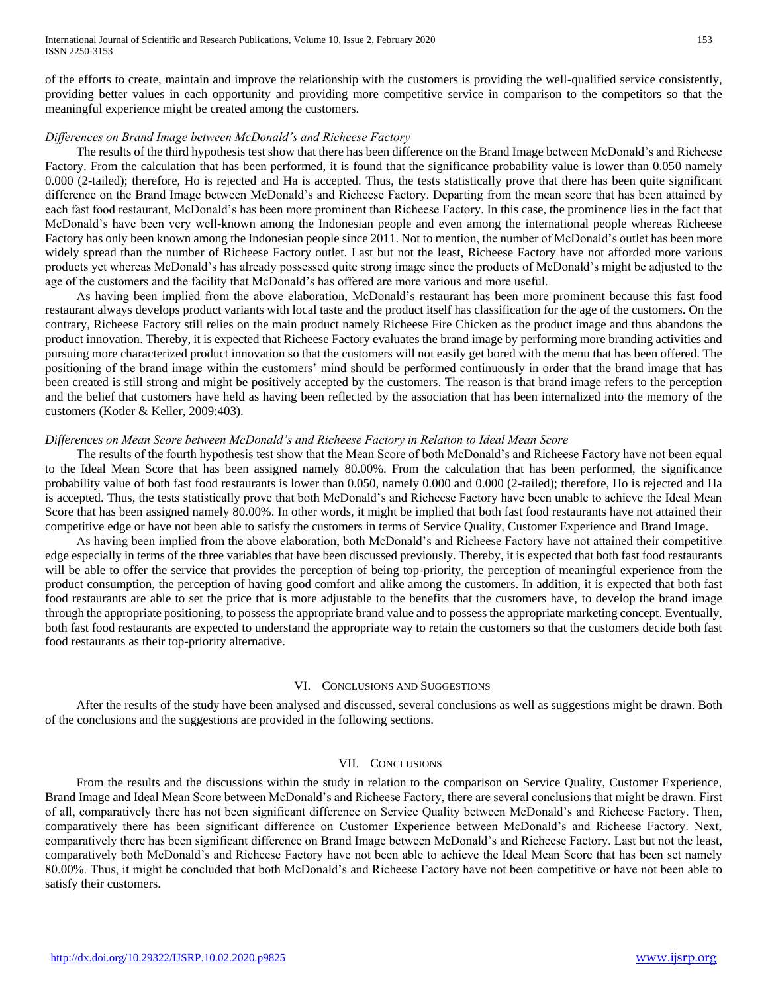of the efforts to create, maintain and improve the relationship with the customers is providing the well-qualified service consistently, providing better values in each opportunity and providing more competitive service in comparison to the competitors so that the meaningful experience might be created among the customers.

## *Differences on Brand Image between McDonald's and Richeese Factory*

 The results of the third hypothesis test show that there has been difference on the Brand Image between McDonald's and Richeese Factory. From the calculation that has been performed, it is found that the significance probability value is lower than 0.050 namely 0.000 (2-tailed); therefore, Ho is rejected and Ha is accepted. Thus, the tests statistically prove that there has been quite significant difference on the Brand Image between McDonald's and Richeese Factory. Departing from the mean score that has been attained by each fast food restaurant, McDonald's has been more prominent than Richeese Factory. In this case, the prominence lies in the fact that McDonald's have been very well-known among the Indonesian people and even among the international people whereas Richeese Factory has only been known among the Indonesian people since 2011. Not to mention, the number of McDonald's outlet has been more widely spread than the number of Richeese Factory outlet. Last but not the least, Richeese Factory have not afforded more various products yet whereas McDonald's has already possessed quite strong image since the products of McDonald's might be adjusted to the age of the customers and the facility that McDonald's has offered are more various and more useful.

 As having been implied from the above elaboration, McDonald's restaurant has been more prominent because this fast food restaurant always develops product variants with local taste and the product itself has classification for the age of the customers. On the contrary, Richeese Factory still relies on the main product namely Richeese Fire Chicken as the product image and thus abandons the product innovation. Thereby, it is expected that Richeese Factory evaluates the brand image by performing more branding activities and pursuing more characterized product innovation so that the customers will not easily get bored with the menu that has been offered. The positioning of the brand image within the customers' mind should be performed continuously in order that the brand image that has been created is still strong and might be positively accepted by the customers. The reason is that brand image refers to the perception and the belief that customers have held as having been reflected by the association that has been internalized into the memory of the customers (Kotler & Keller, 2009:403).

# *Differences on Mean Score between McDonald's and Richeese Factory in Relation to Ideal Mean Score*

 The results of the fourth hypothesis test show that the Mean Score of both McDonald's and Richeese Factory have not been equal to the Ideal Mean Score that has been assigned namely 80.00%. From the calculation that has been performed, the significance probability value of both fast food restaurants is lower than 0.050, namely 0.000 and 0.000 (2-tailed); therefore, Ho is rejected and Ha is accepted. Thus, the tests statistically prove that both McDonald's and Richeese Factory have been unable to achieve the Ideal Mean Score that has been assigned namely 80.00%. In other words, it might be implied that both fast food restaurants have not attained their competitive edge or have not been able to satisfy the customers in terms of Service Quality, Customer Experience and Brand Image.

 As having been implied from the above elaboration, both McDonald's and Richeese Factory have not attained their competitive edge especially in terms of the three variables that have been discussed previously. Thereby, it is expected that both fast food restaurants will be able to offer the service that provides the perception of being top-priority, the perception of meaningful experience from the product consumption, the perception of having good comfort and alike among the customers. In addition, it is expected that both fast food restaurants are able to set the price that is more adjustable to the benefits that the customers have, to develop the brand image through the appropriate positioning, to possess the appropriate brand value and to possess the appropriate marketing concept. Eventually, both fast food restaurants are expected to understand the appropriate way to retain the customers so that the customers decide both fast food restaurants as their top-priority alternative.

## VI. CONCLUSIONS AND SUGGESTIONS

 After the results of the study have been analysed and discussed, several conclusions as well as suggestions might be drawn. Both of the conclusions and the suggestions are provided in the following sections.

# VII. CONCLUSIONS

 From the results and the discussions within the study in relation to the comparison on Service Quality, Customer Experience, Brand Image and Ideal Mean Score between McDonald's and Richeese Factory, there are several conclusions that might be drawn. First of all, comparatively there has not been significant difference on Service Quality between McDonald's and Richeese Factory. Then, comparatively there has been significant difference on Customer Experience between McDonald's and Richeese Factory. Next, comparatively there has been significant difference on Brand Image between McDonald's and Richeese Factory. Last but not the least, comparatively both McDonald's and Richeese Factory have not been able to achieve the Ideal Mean Score that has been set namely 80.00%. Thus, it might be concluded that both McDonald's and Richeese Factory have not been competitive or have not been able to satisfy their customers.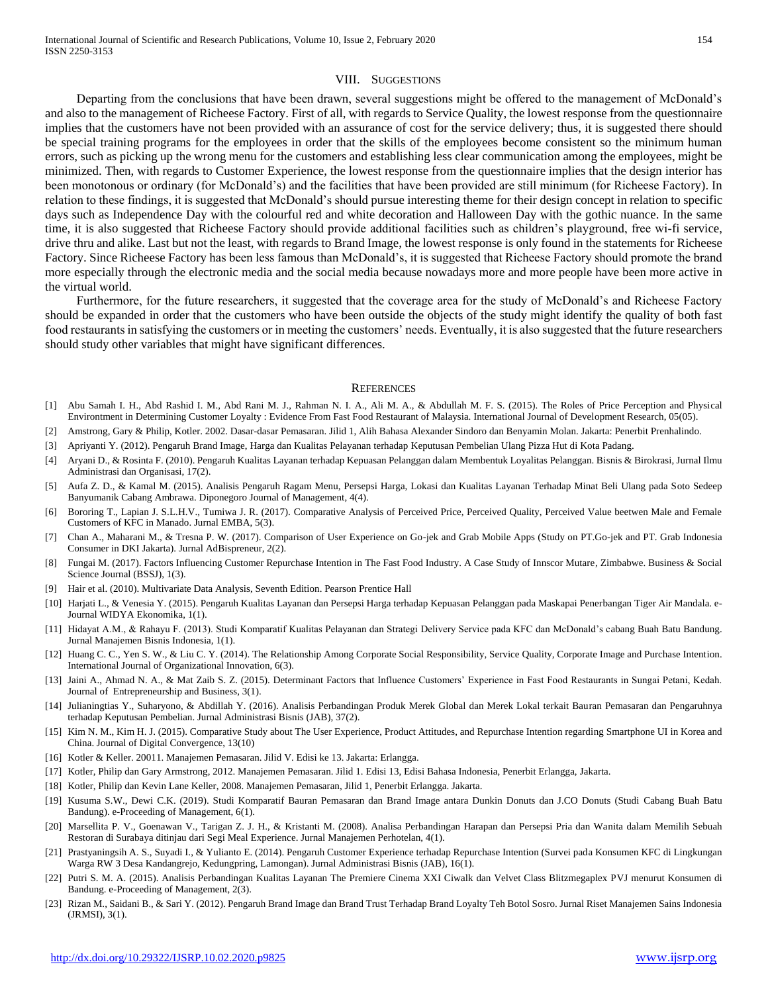#### VIII. SUGGESTIONS

 Departing from the conclusions that have been drawn, several suggestions might be offered to the management of McDonald's and also to the management of Richeese Factory. First of all, with regards to Service Quality, the lowest response from the questionnaire implies that the customers have not been provided with an assurance of cost for the service delivery; thus, it is suggested there should be special training programs for the employees in order that the skills of the employees become consistent so the minimum human errors, such as picking up the wrong menu for the customers and establishing less clear communication among the employees, might be minimized. Then, with regards to Customer Experience, the lowest response from the questionnaire implies that the design interior has been monotonous or ordinary (for McDonald's) and the facilities that have been provided are still minimum (for Richeese Factory). In relation to these findings, it is suggested that McDonald's should pursue interesting theme for their design concept in relation to specific days such as Independence Day with the colourful red and white decoration and Halloween Day with the gothic nuance. In the same time, it is also suggested that Richeese Factory should provide additional facilities such as children's playground, free wi-fi service, drive thru and alike. Last but not the least, with regards to Brand Image, the lowest response is only found in the statements for Richeese Factory. Since Richeese Factory has been less famous than McDonald's, it is suggested that Richeese Factory should promote the brand more especially through the electronic media and the social media because nowadays more and more people have been more active in the virtual world.

 Furthermore, for the future researchers, it suggested that the coverage area for the study of McDonald's and Richeese Factory should be expanded in order that the customers who have been outside the objects of the study might identify the quality of both fast food restaurants in satisfying the customers or in meeting the customers' needs. Eventually, it is also suggested that the future researchers should study other variables that might have significant differences.

#### **REFERENCES**

- [1] Abu Samah I. H., Abd Rashid I. M., Abd Rani M. J., Rahman N. I. A., Ali M. A., & Abdullah M. F. S. (2015). The Roles of Price Perception and Physical Environtment in Determining Customer Loyalty : Evidence From Fast Food Restaurant of Malaysia. International Journal of Development Research, 05(05).
- [2] Amstrong, Gary & Philip, Kotler. 2002. Dasar-dasar Pemasaran. Jilid 1, Alih Bahasa Alexander Sindoro dan Benyamin Molan. Jakarta: Penerbit Prenhalindo.
- [3] Apriyanti Y. (2012). Pengaruh Brand Image, Harga dan Kualitas Pelayanan terhadap Keputusan Pembelian Ulang Pizza Hut di Kota Padang.
- [4] Aryani D., & Rosinta F. (2010). Pengaruh Kualitas Layanan terhadap Kepuasan Pelanggan dalam Membentuk Loyalitas Pelanggan. Bisnis & Birokrasi, Jurnal Ilmu Administrasi dan Organisasi, 17(2).
- [5] Aufa Z. D., & Kamal M. (2015). Analisis Pengaruh Ragam Menu, Persepsi Harga, Lokasi dan Kualitas Layanan Terhadap Minat Beli Ulang pada Soto Sedeep Banyumanik Cabang Ambrawa. Diponegoro Journal of Management, 4(4).
- [6] Bororing T., Lapian J. S.L.H.V., Tumiwa J. R. (2017). Comparative Analysis of Perceived Price, Perceived Quality, Perceived Value beetwen Male and Female Customers of KFC in Manado. Jurnal EMBA, 5(3).
- [7] Chan A., Maharani M., & Tresna P. W. (2017). Comparison of User Experience on Go-jek and Grab Mobile Apps (Study on PT.Go-jek and PT. Grab Indonesia Consumer in DKI Jakarta). Jurnal AdBispreneur, 2(2).
- [8] Fungai M. (2017). Factors Influencing Customer Repurchase Intention in The Fast Food Industry. A Case Study of Innscor Mutare, Zimbabwe. Business & Social Science Journal (BSSJ), 1(3).
- [9] Hair et al. (2010). Multivariate Data Analysis, Seventh Edition. Pearson Prentice Hall
- [10] Harjati L., & Venesia Y. (2015). Pengaruh Kualitas Layanan dan Persepsi Harga terhadap Kepuasan Pelanggan pada Maskapai Penerbangan Tiger Air Mandala. e-Journal WIDYA Ekonomika, 1(1).
- [11] Hidayat A.M., & Rahayu F. (2013). Studi Komparatif Kualitas Pelayanan dan Strategi Delivery Service pada KFC dan McDonald's cabang Buah Batu Bandung. Jurnal Manajemen Bisnis Indonesia, 1(1).
- [12] Huang C. C., Yen S. W., & Liu C. Y. (2014). The Relationship Among Corporate Social Responsibility, Service Quality, Corporate Image and Purchase Intention. International Journal of Organizational Innovation, 6(3).
- [13] Jaini A., Ahmad N. A., & Mat Zaib S. Z. (2015). Determinant Factors that Influence Customers' Experience in Fast Food Restaurants in Sungai Petani, Kedah. Journal of Entrepreneurship and Business, 3(1).
- [14] Julianingtias Y., Suharyono, & Abdillah Y. (2016). Analisis Perbandingan Produk Merek Global dan Merek Lokal terkait Bauran Pemasaran dan Pengaruhnya terhadap Keputusan Pembelian. Jurnal Administrasi Bisnis (JAB), 37(2).
- [15] Kim N. M., Kim H. J. (2015). Comparative Study about The User Experience, Product Attitudes, and Repurchase Intention regarding Smartphone UI in Korea and China. Journal of Digital Convergence, 13(10)
- [16] Kotler & Keller. 20011. Manajemen Pemasaran. Jilid V. Edisi ke 13. Jakarta: Erlangga.
- [17] Kotler, Philip dan Gary Armstrong, 2012. Manajemen Pemasaran. Jilid 1. Edisi 13, Edisi Bahasa Indonesia, Penerbit Erlangga, Jakarta.
- [18] Kotler, Philip dan Kevin Lane Keller, 2008. Manajemen Pemasaran, Jilid 1, Penerbit Erlangga. Jakarta.
- [19] Kusuma S.W., Dewi C.K. (2019). Studi Komparatif Bauran Pemasaran dan Brand Image antara Dunkin Donuts dan J.CO Donuts (Studi Cabang Buah Batu Bandung). e-Proceeding of Management, 6(1).
- [20] Marsellita P. V., Goenawan V., Tarigan Z. J. H., & Kristanti M. (2008). Analisa Perbandingan Harapan dan Persepsi Pria dan Wanita dalam Memilih Sebuah Restoran di Surabaya ditinjau dari Segi Meal Experience. Jurnal Manajemen Perhotelan, 4(1).
- [21] Prastyaningsih A. S., Suyadi I., & Yulianto E. (2014). Pengaruh Customer Experience terhadap Repurchase Intention (Survei pada Konsumen KFC di Lingkungan Warga RW 3 Desa Kandangrejo, Kedungpring, Lamongan). Jurnal Administrasi Bisnis (JAB), 16(1).
- [22] Putri S. M. A. (2015). Analisis Perbandingan Kualitas Layanan The Premiere Cinema XXI Ciwalk dan Velvet Class Blitzmegaplex PVJ menurut Konsumen di Bandung. e-Proceeding of Management, 2(3).
- [23] Rizan M., Saidani B., & Sari Y. (2012). Pengaruh Brand Image dan Brand Trust Terhadap Brand Loyalty Teh Botol Sosro. Jurnal Riset Manajemen Sains Indonesia (JRMSI), 3(1).